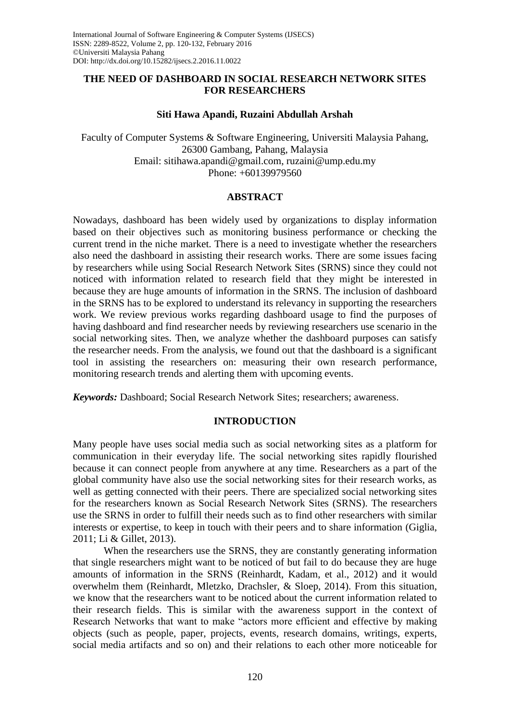# **THE NEED OF DASHBOARD IN SOCIAL RESEARCH NETWORK SITES FOR RESEARCHERS**

### **Siti Hawa Apandi, Ruzaini Abdullah Arshah**

Faculty of Computer Systems & Software Engineering, Universiti Malaysia Pahang, 26300 Gambang, Pahang, Malaysia Email: [sitihawa.apandi@gmail.com,](mailto:sitihawa.apandi@gmail.com) [ruzaini@ump.edu.my](mailto:ruzaini@ump.edu.my) Phone: +60139979560

### **ABSTRACT**

Nowadays, dashboard has been widely used by organizations to display information based on their objectives such as monitoring business performance or checking the current trend in the niche market. There is a need to investigate whether the researchers also need the dashboard in assisting their research works. There are some issues facing by researchers while using Social Research Network Sites (SRNS) since they could not noticed with information related to research field that they might be interested in because they are huge amounts of information in the SRNS. The inclusion of dashboard in the SRNS has to be explored to understand its relevancy in supporting the researchers work. We review previous works regarding dashboard usage to find the purposes of having dashboard and find researcher needs by reviewing researchers use scenario in the social networking sites. Then, we analyze whether the dashboard purposes can satisfy the researcher needs. From the analysis, we found out that the dashboard is a significant tool in assisting the researchers on: measuring their own research performance, monitoring research trends and alerting them with upcoming events.

*Keywords:* Dashboard; Social Research Network Sites; researchers; awareness.

# **INTRODUCTION**

Many people have uses social media such as social networking sites as a platform for communication in their everyday life. The social networking sites rapidly flourished because it can connect people from anywhere at any time. Researchers as a part of the global community have also use the social networking sites for their research works, as well as getting connected with their peers. There are specialized social networking sites for the researchers known as Social Research Network Sites (SRNS). The researchers use the SRNS in order to fulfill their needs such as to find other researchers with similar interests or expertise, to keep in touch with their peers and to share information [\(Giglia,](#page-10-0)  [2011;](#page-10-0) [Li & Gillet, 2013\)](#page-10-1).

When the researchers use the SRNS, they are constantly generating information that single researchers might want to be noticed of but fail to do because they are huge amounts of information in the SRNS [\(Reinhardt, Kadam, et al., 2012\)](#page-11-0) and it would overwhelm them [\(Reinhardt, Mletzko, Drachsler, & Sloep, 2014\)](#page-11-1). From this situation, we know that the researchers want to be noticed about the current information related to their research fields. This is similar with the awareness support in the context of Research Networks that want to make "actors more efficient and effective by making objects (such as people, paper, projects, events, research domains, writings, experts, social media artifacts and so on) and their relations to each other more noticeable for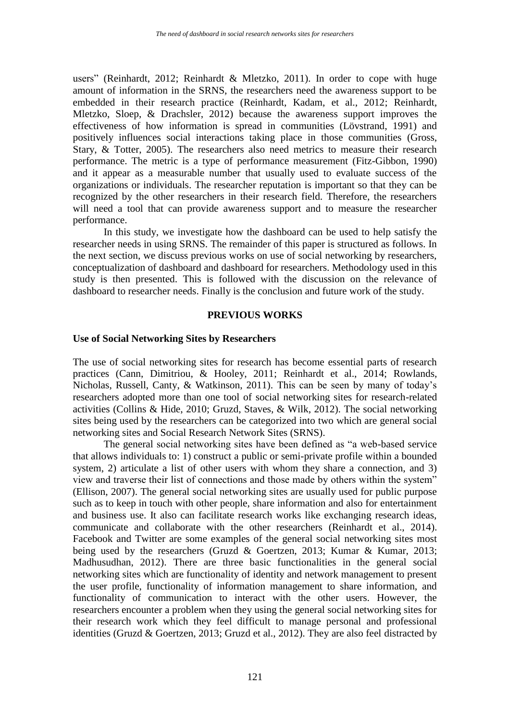users" [\(Reinhardt, 2012;](#page-11-2) [Reinhardt & Mletzko, 2011\)](#page-11-3). In order to cope with huge amount of information in the SRNS, the researchers need the awareness support to be embedded in their research practice [\(Reinhardt, Kadam, et al., 2012;](#page-11-0) [Reinhardt,](#page-11-4)  [Mletzko, Sloep, & Drachsler, 2012\)](#page-11-4) because the awareness support improves the effectiveness of how information is spread in communities [\(Lövstrand, 1991\)](#page-10-2) and positively influences social interactions taking place in those communities [\(Gross,](#page-10-3)  [Stary, & Totter, 2005\)](#page-10-3). The researchers also need metrics to measure their research performance. The metric is a type of performance measurement [\(Fitz-Gibbon, 1990\)](#page-10-4) and it appear as a measurable number that usually used to evaluate success of the organizations or individuals. The researcher reputation is important so that they can be recognized by the other researchers in their research field. Therefore, the researchers will need a tool that can provide awareness support and to measure the researcher performance.

In this study, we investigate how the dashboard can be used to help satisfy the researcher needs in using SRNS. The remainder of this paper is structured as follows. In the next section, we discuss previous works on use of social networking by researchers, conceptualization of dashboard and dashboard for researchers. Methodology used in this study is then presented. This is followed with the discussion on the relevance of dashboard to researcher needs. Finally is the conclusion and future work of the study.

#### **PREVIOUS WORKS**

#### **Use of Social Networking Sites by Researchers**

The use of social networking sites for research has become essential parts of research practices [\(Cann, Dimitriou, & Hooley, 2011;](#page-10-5) [Reinhardt et al., 2014;](#page-11-1) [Rowlands,](#page-11-5)  [Nicholas, Russell, Canty, & Watkinson, 2011\)](#page-11-5). This can be seen by many of today's researchers adopted more than one tool of social networking sites for research-related activities [\(Collins & Hide, 2010;](#page-10-6) [Gruzd, Staves, & Wilk, 2012\)](#page-10-7). The social networking sites being used by the researchers can be categorized into two which are general social networking sites and Social Research Network Sites (SRNS).

The general social networking sites have been defined as "a web-based service that allows individuals to: 1) construct a public or semi-private profile within a bounded system, 2) articulate a list of other users with whom they share a connection, and 3) view and traverse their list of connections and those made by others within the system" [\(Ellison, 2007\)](#page-10-8). The general social networking sites are usually used for public purpose such as to keep in touch with other people, share information and also for entertainment and business use. It also can facilitate research works like exchanging research ideas, communicate and collaborate with the other researchers [\(Reinhardt et al., 2014\)](#page-11-1). Facebook and Twitter are some examples of the general social networking sites most being used by the researchers [\(Gruzd & Goertzen, 2013;](#page-10-9) [Kumar & Kumar, 2013;](#page-10-10) [Madhusudhan, 2012\)](#page-10-11). There are three basic functionalities in the general social networking sites which are functionality of identity and network management to present the user profile, functionality of information management to share information, and functionality of communication to interact with the other users. However, the researchers encounter a problem when they using the general social networking sites for their research work which they feel difficult to manage personal and professional identities [\(Gruzd & Goertzen, 2013;](#page-10-9) [Gruzd et al., 2012\)](#page-10-7). They are also feel distracted by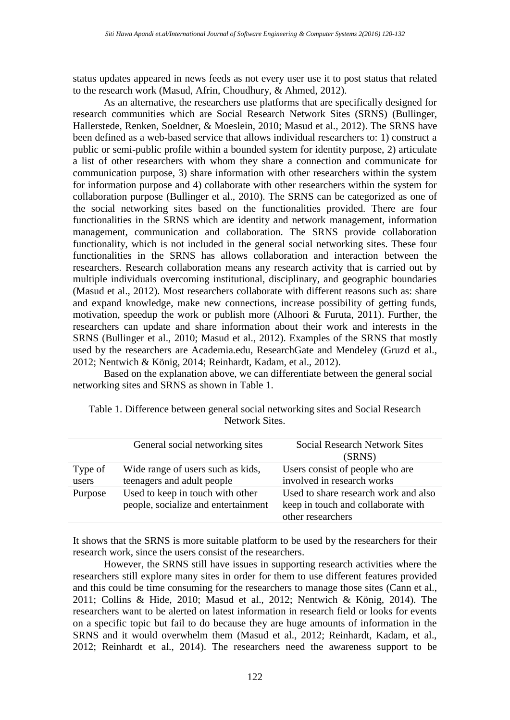status updates appeared in news feeds as not every user use it to post status that related to the research work [\(Masud, Afrin, Choudhury, & Ahmed, 2012\)](#page-11-6).

As an alternative, the researchers use platforms that are specifically designed for research communities which are Social Research Network Sites (SRNS) [\(Bullinger,](#page-10-12)  [Hallerstede, Renken, Soeldner, & Moeslein, 2010;](#page-10-12) [Masud et al., 2012\)](#page-11-6). The SRNS have been defined as a web-based service that allows individual researchers to: 1) construct a public or semi-public profile within a bounded system for identity purpose, 2) articulate a list of other researchers with whom they share a connection and communicate for communication purpose, 3) share information with other researchers within the system for information purpose and 4) collaborate with other researchers within the system for collaboration purpose [\(Bullinger et al., 2010\)](#page-10-12). The SRNS can be categorized as one of the social networking sites based on the functionalities provided. There are four functionalities in the SRNS which are identity and network management, information management, communication and collaboration. The SRNS provide collaboration functionality, which is not included in the general social networking sites. These four functionalities in the SRNS has allows collaboration and interaction between the researchers. Research collaboration means any research activity that is carried out by multiple individuals overcoming institutional, disciplinary, and geographic boundaries [\(Masud et al., 2012\)](#page-11-6). Most researchers collaborate with different reasons such as: share and expand knowledge, make new connections, increase possibility of getting funds, motivation, speedup the work or publish more [\(Alhoori & Furuta, 2011\)](#page-9-0). Further, the researchers can update and share information about their work and interests in the SRNS [\(Bullinger et al., 2010;](#page-10-12) [Masud et al., 2012\)](#page-11-6). Examples of the SRNS that mostly used by the researchers are Academia.edu, ResearchGate and Mendeley [\(Gruzd et al.,](#page-10-7)  [2012;](#page-10-7) [Nentwich & König, 2014;](#page-11-7) [Reinhardt, Kadam, et al., 2012\)](#page-11-0).

Based on the explanation above, we can differentiate between the general social networking sites and SRNS as shown in [Table 1.](#page-2-0)

|         | General social networking sites     | <b>Social Research Network Sites</b> |
|---------|-------------------------------------|--------------------------------------|
|         |                                     | (SRNS)                               |
| Type of | Wide range of users such as kids,   | Users consist of people who are      |
| users   | teenagers and adult people          | involved in research works           |
| Purpose | Used to keep in touch with other    | Used to share research work and also |
|         | people, socialize and entertainment | keep in touch and collaborate with   |
|         |                                     | other researchers                    |

<span id="page-2-0"></span>

| Table 1. Difference between general social networking sites and Social Research |
|---------------------------------------------------------------------------------|
| Network Sites.                                                                  |

It shows that the SRNS is more suitable platform to be used by the researchers for their research work, since the users consist of the researchers.

However, the SRNS still have issues in supporting research activities where the researchers still explore many sites in order for them to use different features provided and this could be time consuming for the researchers to manage those sites [\(Cann et al.,](#page-10-5)  [2011;](#page-10-5) [Collins & Hide, 2010;](#page-10-6) [Masud et al., 2012;](#page-11-6) [Nentwich & König, 2014\)](#page-11-7). The researchers want to be alerted on latest information in research field or looks for events on a specific topic but fail to do because they are huge amounts of information in the SRNS and it would overwhelm them [\(Masud et al., 2012;](#page-11-6) [Reinhardt, Kadam, et al.,](#page-11-0)  [2012;](#page-11-0) [Reinhardt et al., 2014\)](#page-11-1). The researchers need the awareness support to be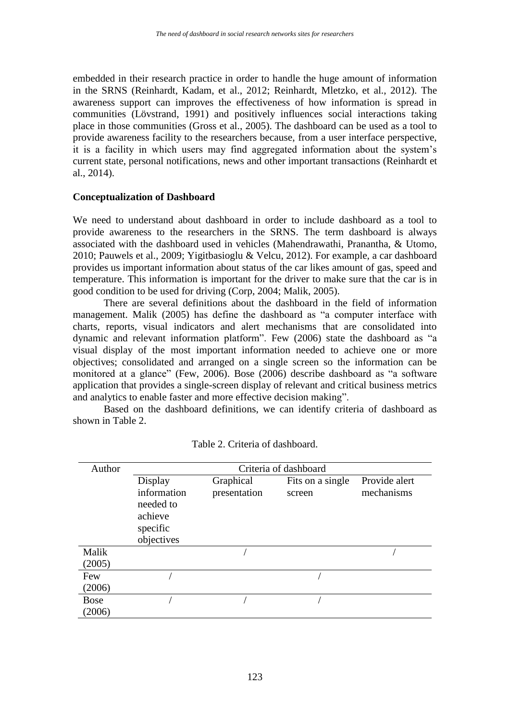embedded in their research practice in order to handle the huge amount of information in the SRNS [\(Reinhardt, Kadam, et al., 2012;](#page-11-0) [Reinhardt, Mletzko, et al., 2012\)](#page-11-4). The awareness support can improves the effectiveness of how information is spread in communities [\(Lövstrand, 1991\)](#page-10-2) and positively influences social interactions taking place in those communities [\(Gross et al., 2005\)](#page-10-3). The dashboard can be used as a tool to provide awareness facility to the researchers because, from a user interface perspective, it is a facility in which users may find aggregated information about the system's current state, personal notifications, news and other important transactions [\(Reinhardt et](#page-11-1)  [al., 2014\)](#page-11-1).

### **Conceptualization of Dashboard**

We need to understand about dashboard in order to include dashboard as a tool to provide awareness to the researchers in the SRNS. The term dashboard is always associated with the dashboard used in vehicles [\(Mahendrawathi, Pranantha, & Utomo,](#page-11-8)  [2010;](#page-11-8) [Pauwels et al., 2009;](#page-11-9) [Yigitbasioglu & Velcu, 2012\)](#page-12-0). For example, a car dashboard provides us important information about status of the car likes amount of gas, speed and temperature. This information is important for the driver to make sure that the car is in good condition to be used for driving [\(Corp, 2004;](#page-10-13) [Malik, 2005\)](#page-11-10).

There are several definitions about the dashboard in the field of information management. [Malik \(2005\)](#page-11-10) has define the dashboard as "a computer interface with charts, reports, visual indicators and alert mechanisms that are consolidated into dynamic and relevant information platform". [Few \(2006\)](#page-10-14) state the dashboard as "a visual display of the most important information needed to achieve one or more objectives; consolidated and arranged on a single screen so the information can be monitored at a glance" [\(Few, 2006\)](#page-10-14). [Bose \(2006\)](#page-10-15) describe dashboard as "a software application that provides a single-screen display of relevant and critical business metrics and analytics to enable faster and more effective decision making".

Based on the dashboard definitions, we can identify criteria of dashboard as shown in [Table 2.](#page-3-0)

<span id="page-3-0"></span>

| Author      | Criteria of dashboard                                                    |                           |                            |                             |
|-------------|--------------------------------------------------------------------------|---------------------------|----------------------------|-----------------------------|
|             | Display<br>information<br>needed to<br>achieve<br>specific<br>objectives | Graphical<br>presentation | Fits on a single<br>screen | Provide alert<br>mechanisms |
| Malik       |                                                                          |                           |                            |                             |
| (2005)      |                                                                          |                           |                            |                             |
| Few         |                                                                          |                           |                            |                             |
| (2006)      |                                                                          |                           |                            |                             |
| <b>Bose</b> |                                                                          |                           |                            |                             |
| (2006)      |                                                                          |                           |                            |                             |

Table 2. Criteria of dashboard.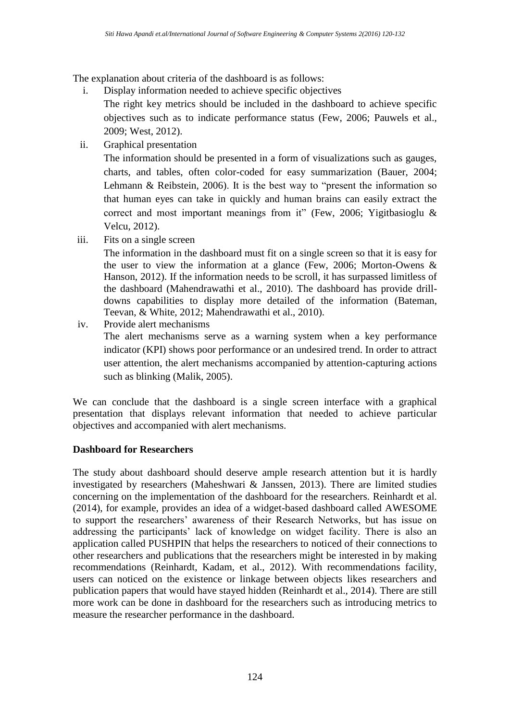The explanation about criteria of the dashboard is as follows:

i. Display information needed to achieve specific objectives

The right key metrics should be included in the dashboard to achieve specific objectives such as to indicate performance status [\(Few, 2006;](#page-10-14) [Pauwels et al.,](#page-11-9)  [2009;](#page-11-9) [West, 2012\)](#page-12-1).

ii. Graphical presentation

The information should be presented in a form of visualizations such as gauges, charts, and tables, often color-coded for easy summarization [\(Bauer, 2004;](#page-10-16) [Lehmann & Reibstein, 2006\)](#page-10-17). It is the best way to "present the information so that human eyes can take in quickly and human brains can easily extract the correct and most important meanings from it" [\(Few, 2006;](#page-10-14) [Yigitbasioglu &](#page-12-0)  [Velcu, 2012\)](#page-12-0).

iii. Fits on a single screen

The information in the dashboard must fit on a single screen so that it is easy for the user to view the information at a glance [\(Few, 2006;](#page-10-14) [Morton-Owens &](#page-11-11)  [Hanson, 2012\)](#page-11-11). If the information needs to be scroll, it has surpassed limitless of the dashboard [\(Mahendrawathi et al., 2010\)](#page-11-8). The dashboard has provide drilldowns capabilities to display more detailed of the information [\(Bateman,](#page-9-1)  [Teevan, & White, 2012;](#page-9-1) [Mahendrawathi et al., 2010\)](#page-11-8).

iv. Provide alert mechanisms The alert mechanisms serve as a warning system when a key performance indicator (KPI) shows poor performance or an undesired trend. In order to attract user attention, the alert mechanisms accompanied by attention-capturing actions such as blinking [\(Malik, 2005\)](#page-11-10).

We can conclude that the dashboard is a single screen interface with a graphical presentation that displays relevant information that needed to achieve particular objectives and accompanied with alert mechanisms.

# **Dashboard for Researchers**

The study about dashboard should deserve ample research attention but it is hardly investigated by researchers [\(Maheshwari & Janssen, 2013\)](#page-11-12). There are limited studies concerning on the implementation of the dashboard for the researchers. [Reinhardt et al.](#page-11-1)  (2014), for example, provides an idea of a widget-based dashboard called AWESOME to support the researchers' awareness of their Research Networks, but has issue on addressing the participants' lack of knowledge on widget facility. There is also an application called PUSHPIN that helps the researchers to noticed of their connections to other researchers and publications that the researchers might be interested in by making recommendations [\(Reinhardt, Kadam, et al., 2012\)](#page-11-0). With recommendations facility, users can noticed on the existence or linkage between objects likes researchers and publication papers that would have stayed hidden [\(Reinhardt et al., 2014\)](#page-11-1). There are still more work can be done in dashboard for the researchers such as introducing metrics to measure the researcher performance in the dashboard.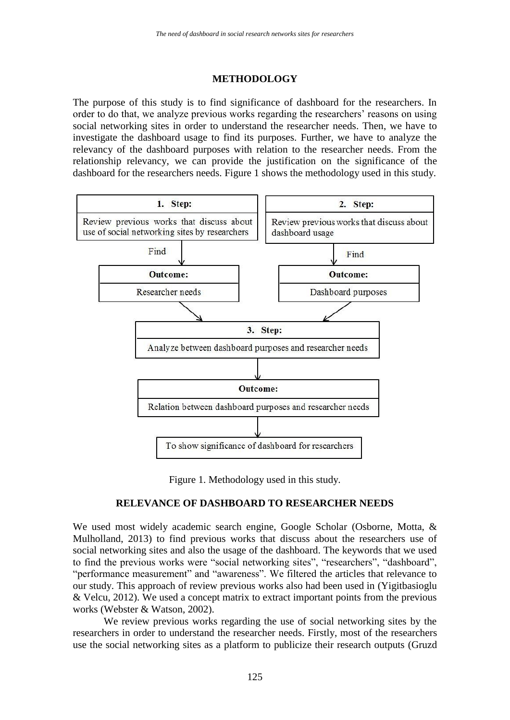# **METHODOLOGY**

The purpose of this study is to find significance of dashboard for the researchers. In order to do that, we analyze previous works regarding the researchers' reasons on using social networking sites in order to understand the researcher needs. Then, we have to investigate the dashboard usage to find its purposes. Further, we have to analyze the relevancy of the dashboard purposes with relation to the researcher needs. From the relationship relevancy, we can provide the justification on the significance of the dashboard for the researchers needs. [Figure 1](#page-5-0) shows the methodology used in this study.



Figure 1. Methodology used in this study.

# **RELEVANCE OF DASHBOARD TO RESEARCHER NEEDS**

<span id="page-5-0"></span>We used most widely academic search engine, Google Scholar [\(Osborne, Motta, &](#page-11-13)  [Mulholland, 2013\)](#page-11-13) to find previous works that discuss about the researchers use of social networking sites and also the usage of the dashboard. The keywords that we used to find the previous works were "social networking sites", "researchers", "dashboard", "performance measurement" and "awareness". We filtered the articles that relevance to our study. This approach of review previous works also had been used in [\(Yigitbasioglu](#page-12-0)  [& Velcu, 2012\)](#page-12-0). We used a concept matrix to extract important points from the previous works [\(Webster & Watson, 2002\)](#page-12-2).

We review previous works regarding the use of social networking sites by the researchers in order to understand the researcher needs. Firstly, most of the researchers use the social networking sites as a platform to publicize their research outputs [\(Gruzd](#page-10-7)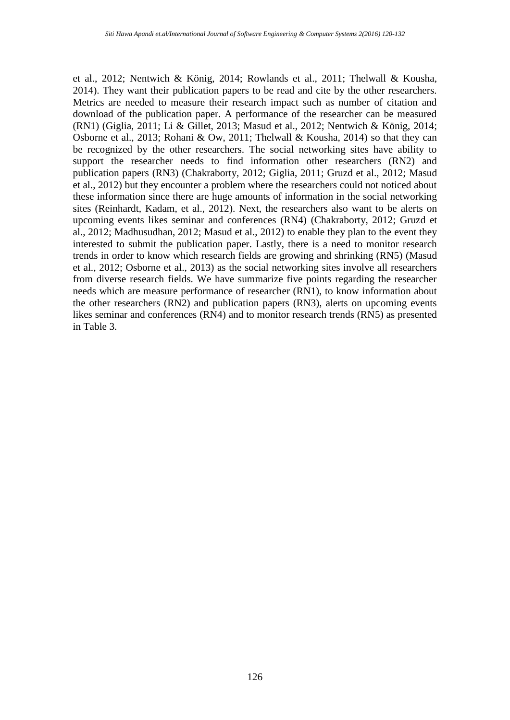[et al., 2012;](#page-10-7) [Nentwich & König, 2014;](#page-11-7) [Rowlands et al., 2011;](#page-11-5) [Thelwall & Kousha,](#page-12-3)  [2014\)](#page-12-3). They want their publication papers to be read and cite by the other researchers. Metrics are needed to measure their research impact such as number of citation and download of the publication paper. A performance of the researcher can be measured (RN1) [\(Giglia, 2011;](#page-10-0) [Li & Gillet, 2013;](#page-10-1) [Masud et al., 2012;](#page-11-6) [Nentwich & König, 2014;](#page-11-7) [Osborne et al., 2013;](#page-11-13) [Rohani & Ow, 2011;](#page-11-14) [Thelwall & Kousha, 2014\)](#page-12-3) so that they can be recognized by the other researchers. The social networking sites have ability to support the researcher needs to find information other researchers (RN2) and publication papers (RN3) [\(Chakraborty, 2012;](#page-10-18) [Giglia, 2011;](#page-10-0) [Gruzd et al., 2012;](#page-10-7) [Masud](#page-11-6)  [et al., 2012\)](#page-11-6) but they encounter a problem where the researchers could not noticed about these information since there are huge amounts of information in the social networking sites [\(Reinhardt, Kadam, et al., 2012\)](#page-11-0). Next, the researchers also want to be alerts on upcoming events likes seminar and conferences (RN4) [\(Chakraborty, 2012;](#page-10-18) [Gruzd et](#page-10-7)  [al., 2012;](#page-10-7) [Madhusudhan, 2012;](#page-10-11) [Masud et al., 2012\)](#page-11-6) to enable they plan to the event they interested to submit the publication paper. Lastly, there is a need to monitor research trends in order to know which research fields are growing and shrinking (RN5) [\(Masud](#page-11-6)  [et al., 2012;](#page-11-6) [Osborne et al., 2013\)](#page-11-13) as the social networking sites involve all researchers from diverse research fields. We have summarize five points regarding the researcher needs which are measure performance of researcher (RN1), to know information about the other researchers (RN2) and publication papers (RN3), alerts on upcoming events likes seminar and conferences (RN4) and to monitor research trends (RN5) as presented in [Table 3.](#page-7-0)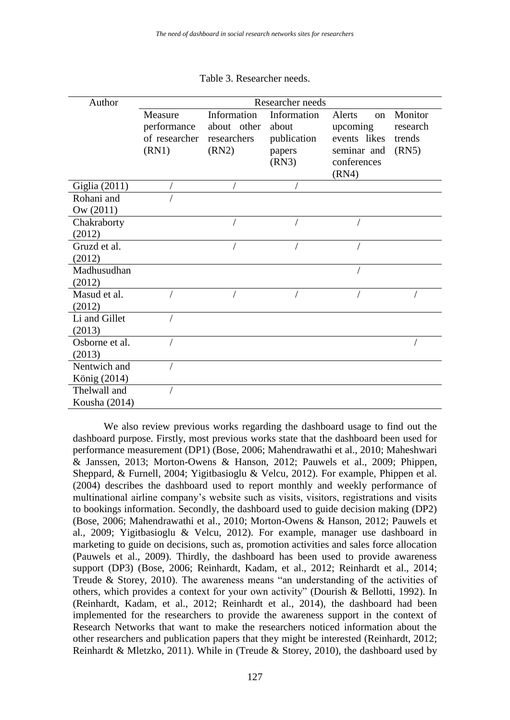<span id="page-7-0"></span>

| Author             | Researcher needs |             |             |                    |          |
|--------------------|------------------|-------------|-------------|--------------------|----------|
|                    | Measure          | Information | Information | Alerts<br>$\alpha$ | Monitor  |
|                    | performance      | about other | about       | upcoming           | research |
|                    | of researcher    | researchers | publication | events likes       | trends   |
|                    | (RN1)            | (RN2)       | papers      | seminar and        | (RN5)    |
|                    |                  |             | (RN3)       | conferences        |          |
|                    |                  |             |             | (RN4)              |          |
| Giglia (2011)      |                  |             |             |                    |          |
| Rohani and         |                  |             |             |                    |          |
| $\text{Ow (2011)}$ |                  |             |             |                    |          |
| Chakraborty        |                  |             |             |                    |          |
| (2012)             |                  |             |             |                    |          |
| Gruzd et al.       |                  |             |             |                    |          |
| (2012)             |                  |             |             |                    |          |
| Madhusudhan        |                  |             |             |                    |          |
| (2012)             |                  |             |             |                    |          |
| Masud et al.       |                  |             |             |                    |          |
| (2012)             |                  |             |             |                    |          |
| Li and Gillet      |                  |             |             |                    |          |
| (2013)             |                  |             |             |                    |          |
| Osborne et al.     |                  |             |             |                    |          |
| (2013)             |                  |             |             |                    |          |
| Nentwich and       |                  |             |             |                    |          |
| König (2014)       |                  |             |             |                    |          |
| Thelwall and       |                  |             |             |                    |          |
| Kousha (2014)      |                  |             |             |                    |          |

Table 3. Researcher needs.

We also review previous works regarding the dashboard usage to find out the dashboard purpose. Firstly, most previous works state that the dashboard been used for performance measurement (DP1) [\(Bose, 2006;](#page-10-15) [Mahendrawathi et al., 2010;](#page-11-8) [Maheshwari](#page-11-12)  [& Janssen, 2013;](#page-11-12) [Morton-Owens & Hanson, 2012;](#page-11-11) [Pauwels et al., 2009;](#page-11-9) [Phippen,](#page-11-15)  [Sheppard, & Furnell, 2004;](#page-11-15) [Yigitbasioglu & Velcu, 2012\)](#page-12-0). For example, [Phippen et al.](#page-11-15)  (2004) describes the dashboard used to report monthly and weekly performance of multinational airline company's website such as visits, visitors, registrations and visits to bookings information. Secondly, the dashboard used to guide decision making (DP2) [\(Bose, 2006;](#page-10-15) [Mahendrawathi et al., 2010;](#page-11-8) [Morton-Owens & Hanson, 2012;](#page-11-11) [Pauwels et](#page-11-9)  [al., 2009;](#page-11-9) [Yigitbasioglu & Velcu, 2012\)](#page-12-0). For example, manager use dashboard in marketing to guide on decisions, such as, promotion activities and sales force allocation [\(Pauwels et al., 2009\)](#page-11-9). Thirdly, the dashboard has been used to provide awareness support (DP3) [\(Bose, 2006;](#page-10-15) [Reinhardt, Kadam, et al., 2012;](#page-11-0) [Reinhardt et al., 2014;](#page-11-1) [Treude & Storey, 2010\)](#page-12-4). The awareness means "an understanding of the activities of others, which provides a context for your own activity" [\(Dourish & Bellotti, 1992\)](#page-10-19). In [\(Reinhardt, Kadam, et al., 2012;](#page-11-0) [Reinhardt et al., 2014\)](#page-11-1), the dashboard had been implemented for the researchers to provide the awareness support in the context of Research Networks that want to make the researchers noticed information about the other researchers and publication papers that they might be interested [\(Reinhardt, 2012;](#page-11-2) [Reinhardt & Mletzko, 2011\)](#page-11-3). While in [\(Treude & Storey, 2010\)](#page-12-4), the dashboard used by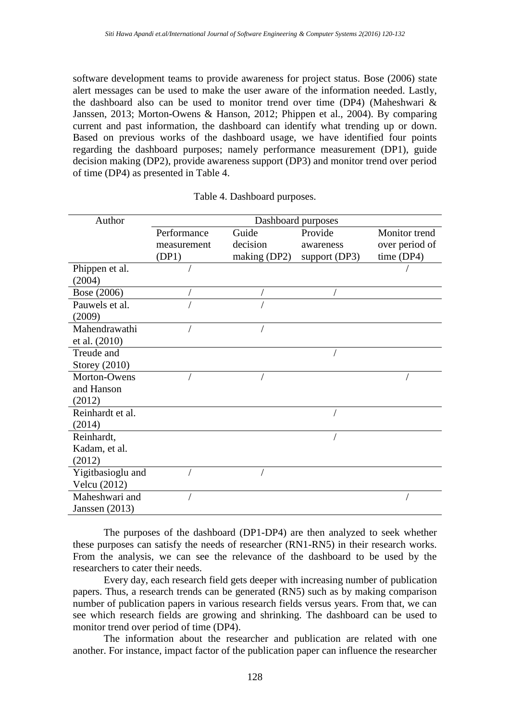software development teams to provide awareness for project status. [Bose \(2006\)](#page-10-15) state alert messages can be used to make the user aware of the information needed. Lastly, the dashboard also can be used to monitor trend over time (DP4) [\(Maheshwari &](#page-11-12)  [Janssen, 2013;](#page-11-12) [Morton-Owens & Hanson, 2012;](#page-11-11) [Phippen et al., 2004\)](#page-11-15). By comparing current and past information, the dashboard can identify what trending up or down. Based on previous works of the dashboard usage, we have identified four points regarding the dashboard purposes; namely performance measurement (DP1), guide decision making (DP2), provide awareness support (DP3) and monitor trend over period of time (DP4) as presented in [Table 4.](#page-8-0)

<span id="page-8-0"></span>

| Author            | Dashboard purposes |              |               |                |
|-------------------|--------------------|--------------|---------------|----------------|
|                   | Performance        | Guide        | Provide       | Monitor trend  |
|                   | measurement        | decision     | awareness     | over period of |
|                   | (DP1)              | making (DP2) | support (DP3) | time (DP4)     |
| Phippen et al.    |                    |              |               |                |
| (2004)            |                    |              |               |                |
| Bose (2006)       |                    |              |               |                |
| Pauwels et al.    |                    |              |               |                |
| (2009)            |                    |              |               |                |
| Mahendrawathi     |                    |              |               |                |
| et al. (2010)     |                    |              |               |                |
| Treude and        |                    |              |               |                |
| Storey (2010)     |                    |              |               |                |
| Morton-Owens      |                    |              |               |                |
| and Hanson        |                    |              |               |                |
| (2012)            |                    |              |               |                |
| Reinhardt et al.  |                    |              |               |                |
| (2014)            |                    |              |               |                |
| Reinhardt,        |                    |              |               |                |
| Kadam, et al.     |                    |              |               |                |
| (2012)            |                    |              |               |                |
| Yigitbasioglu and |                    |              |               |                |
| Velcu (2012)      |                    |              |               |                |
| Maheshwari and    |                    |              |               |                |
| Janssen $(2013)$  |                    |              |               |                |

| Table 4. Dashboard purposes. |  |  |  |
|------------------------------|--|--|--|
|------------------------------|--|--|--|

The purposes of the dashboard (DP1-DP4) are then analyzed to seek whether these purposes can satisfy the needs of researcher (RN1-RN5) in their research works. From the analysis, we can see the relevance of the dashboard to be used by the researchers to cater their needs.

Every day, each research field gets deeper with increasing number of publication papers. Thus, a research trends can be generated (RN5) such as by making comparison number of publication papers in various research fields versus years. From that, we can see which research fields are growing and shrinking. The dashboard can be used to monitor trend over period of time (DP4).

The information about the researcher and publication are related with one another. For instance, impact factor of the publication paper can influence the researcher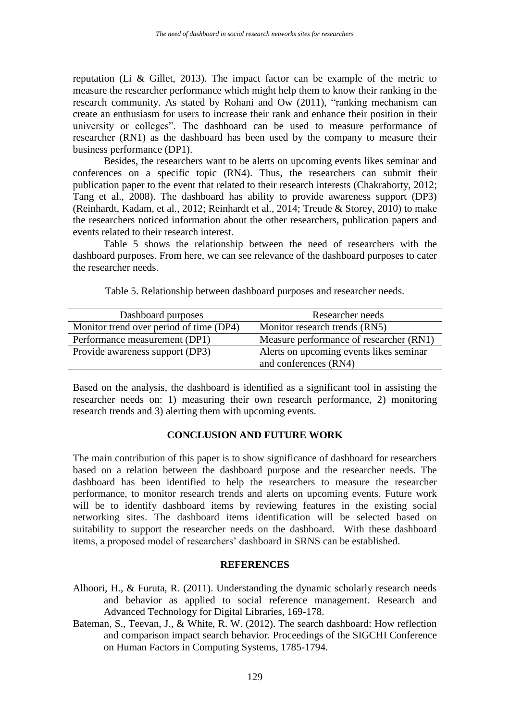reputation [\(Li & Gillet, 2013\)](#page-10-1). The impact factor can be example of the metric to measure the researcher performance which might help them to know their ranking in the research community. As stated by [Rohani and Ow \(2011\),](#page-11-14) "ranking mechanism can create an enthusiasm for users to increase their rank and enhance their position in their university or colleges". The dashboard can be used to measure performance of researcher (RN1) as the dashboard has been used by the company to measure their business performance (DP1).

Besides, the researchers want to be alerts on upcoming events likes seminar and conferences on a specific topic (RN4). Thus, the researchers can submit their publication paper to the event that related to their research interests [\(Chakraborty, 2012;](#page-10-18) [Tang et al., 2008\)](#page-11-16). The dashboard has ability to provide awareness support (DP3) [\(Reinhardt, Kadam, et al., 2012;](#page-11-0) [Reinhardt et al., 2014;](#page-11-1) [Treude & Storey, 2010\)](#page-12-4) to make the researchers noticed information about the other researchers, publication papers and events related to their research interest.

[Table 5](#page-9-2) shows the relationship between the need of researchers with the dashboard purposes. From here, we can see relevance of the dashboard purposes to cater the researcher needs.

Table 5. Relationship between dashboard purposes and researcher needs.

<span id="page-9-2"></span>

| Dashboard purposes                      | Researcher needs                        |
|-----------------------------------------|-----------------------------------------|
| Monitor trend over period of time (DP4) | Monitor research trends (RN5)           |
| Performance measurement (DP1)           | Measure performance of researcher (RN1) |
| Provide awareness support (DP3)         | Alerts on upcoming events likes seminar |
|                                         | and conferences (RN4)                   |

Based on the analysis, the dashboard is identified as a significant tool in assisting the researcher needs on: 1) measuring their own research performance, 2) monitoring research trends and 3) alerting them with upcoming events.

# **CONCLUSION AND FUTURE WORK**

The main contribution of this paper is to show significance of dashboard for researchers based on a relation between the dashboard purpose and the researcher needs. The dashboard has been identified to help the researchers to measure the researcher performance, to monitor research trends and alerts on upcoming events. Future work will be to identify dashboard items by reviewing features in the existing social networking sites. The dashboard items identification will be selected based on suitability to support the researcher needs on the dashboard. With these dashboard items, a proposed model of researchers' dashboard in SRNS can be established.

# **REFERENCES**

- <span id="page-9-0"></span>Alhoori, H., & Furuta, R. (2011). Understanding the dynamic scholarly research needs and behavior as applied to social reference management*.* Research and Advanced Technology for Digital Libraries, 169-178.
- <span id="page-9-1"></span>Bateman, S., Teevan, J., & White, R. W. (2012). The search dashboard: How reflection and comparison impact search behavior*.* Proceedings of the SIGCHI Conference on Human Factors in Computing Systems, 1785-1794.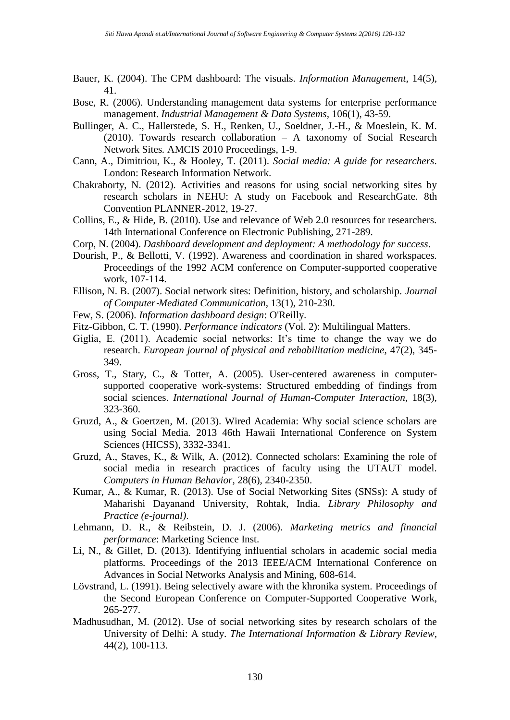- <span id="page-10-16"></span>Bauer, K. (2004). The CPM dashboard: The visuals. *Information Management,* 14(5), 41.
- <span id="page-10-15"></span>Bose, R. (2006). Understanding management data systems for enterprise performance management. *Industrial Management & Data Systems,* 106(1), 43-59.
- <span id="page-10-12"></span>Bullinger, A. C., Hallerstede, S. H., Renken, U., Soeldner, J.-H., & Moeslein, K. M. (2010). Towards research collaboration – A taxonomy of Social Research Network Sites*.* AMCIS 2010 Proceedings, 1-9.
- <span id="page-10-5"></span>Cann, A., Dimitriou, K., & Hooley, T. (2011). *Social media: A guide for researchers*. London: Research Information Network.
- <span id="page-10-18"></span>Chakraborty, N. (2012). Activities and reasons for using social networking sites by research scholars in NEHU: A study on Facebook and ResearchGate*.* 8th Convention PLANNER-2012, 19-27.
- <span id="page-10-6"></span>Collins, E., & Hide, B. (2010). Use and relevance of Web 2.0 resources for researchers*.* 14th International Conference on Electronic Publishing, 271-289.
- <span id="page-10-13"></span>Corp, N. (2004). *Dashboard development and deployment: A methodology for success*.
- <span id="page-10-19"></span>Dourish, P., & Bellotti, V. (1992). Awareness and coordination in shared workspaces*.* Proceedings of the 1992 ACM conference on Computer-supported cooperative work, 107-114.
- <span id="page-10-8"></span>Ellison, N. B. (2007). Social network sites: Definition, history, and scholarship. *Journal of Computer*‐*Mediated Communication,* 13(1), 210-230.
- <span id="page-10-14"></span>Few, S. (2006). *Information dashboard design*: O'Reilly.
- <span id="page-10-4"></span>Fitz-Gibbon, C. T. (1990). *Performance indicators* (Vol. 2): Multilingual Matters.
- <span id="page-10-0"></span>Giglia, E. (2011). Academic social networks: It's time to change the way we do research. *European journal of physical and rehabilitation medicine,* 47(2), 345- 349.
- <span id="page-10-3"></span>Gross, T., Stary, C., & Totter, A. (2005). User-centered awareness in computersupported cooperative work-systems: Structured embedding of findings from social sciences. *International Journal of Human-Computer Interaction*, 18(3), 323-360.
- <span id="page-10-9"></span>Gruzd, A., & Goertzen, M. (2013). Wired Academia: Why social science scholars are using Social Media*.* 2013 46th Hawaii International Conference on System Sciences (HICSS), 3332-3341.
- <span id="page-10-7"></span>Gruzd, A., Staves, K., & Wilk, A. (2012). Connected scholars: Examining the role of social media in research practices of faculty using the UTAUT model. *Computers in Human Behavior,* 28(6), 2340-2350.
- <span id="page-10-10"></span>Kumar, A., & Kumar, R. (2013). Use of Social Networking Sites (SNSs): A study of Maharishi Dayanand University, Rohtak, India. *Library Philosophy and Practice (e-journal)*.
- <span id="page-10-17"></span>Lehmann, D. R., & Reibstein, D. J. (2006). *Marketing metrics and financial performance*: Marketing Science Inst.
- <span id="page-10-1"></span>Li, N., & Gillet, D. (2013). Identifying influential scholars in academic social media platforms*.* Proceedings of the 2013 IEEE/ACM International Conference on Advances in Social Networks Analysis and Mining, 608-614.
- <span id="page-10-2"></span>Lövstrand, L. (1991). Being selectively aware with the khronika system*.* Proceedings of the Second European Conference on Computer-Supported Cooperative Work, 265-277.
- <span id="page-10-11"></span>Madhusudhan, M. (2012). Use of social networking sites by research scholars of the University of Delhi: A study. *The International Information & Library Review,*  44(2), 100-113.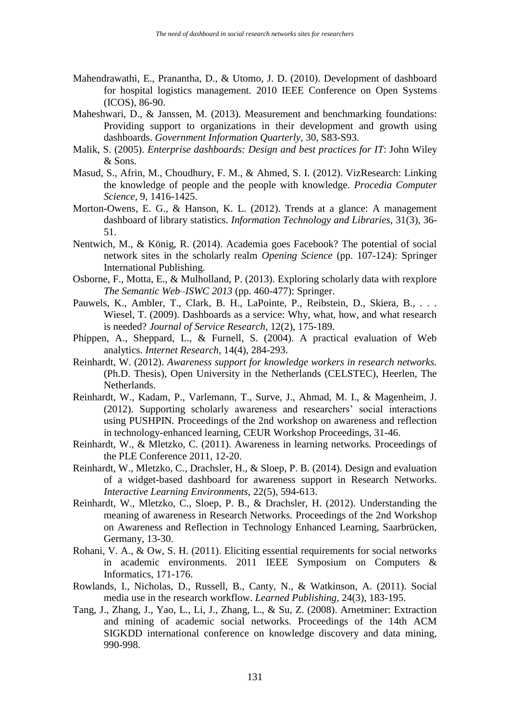- <span id="page-11-8"></span>Mahendrawathi, E., Pranantha, D., & Utomo, J. D. (2010). Development of dashboard for hospital logistics management*.* 2010 IEEE Conference on Open Systems (ICOS), 86-90.
- <span id="page-11-12"></span>Maheshwari, D., & Janssen, M. (2013). Measurement and benchmarking foundations: Providing support to organizations in their development and growth using dashboards. *Government Information Quarterly,* 30, S83-S93.
- <span id="page-11-10"></span>Malik, S. (2005). *Enterprise dashboards: Design and best practices for IT*: John Wiley & Sons.
- <span id="page-11-6"></span>Masud, S., Afrin, M., Choudhury, F. M., & Ahmed, S. I. (2012). VizResearch: Linking the knowledge of people and the people with knowledge. *Procedia Computer Science,* 9, 1416-1425.
- <span id="page-11-11"></span>Morton-Owens, E. G., & Hanson, K. L. (2012). Trends at a glance: A management dashboard of library statistics. *Information Technology and Libraries,* 31(3), 36- 51.
- <span id="page-11-7"></span>Nentwich, M., & König, R. (2014). Academia goes Facebook? The potential of social network sites in the scholarly realm *Opening Science* (pp. 107-124): Springer International Publishing.
- <span id="page-11-13"></span>Osborne, F., Motta, E., & Mulholland, P. (2013). Exploring scholarly data with rexplore *The Semantic Web–ISWC 2013* (pp. 460-477): Springer.
- <span id="page-11-9"></span>Pauwels, K., Ambler, T., Clark, B. H., LaPointe, P., Reibstein, D., Skiera, B., . . . Wiesel, T. (2009). Dashboards as a service: Why, what, how, and what research is needed? *Journal of Service Research,* 12(2), 175-189.
- <span id="page-11-15"></span>Phippen, A., Sheppard, L., & Furnell, S. (2004). A practical evaluation of Web analytics. *Internet Research,* 14(4), 284-293.
- <span id="page-11-2"></span>Reinhardt, W. (2012). *Awareness support for knowledge workers in research networks.* (Ph.D. Thesis), Open University in the Netherlands (CELSTEC), Heerlen, The Netherlands.
- <span id="page-11-0"></span>Reinhardt, W., Kadam, P., Varlemann, T., Surve, J., Ahmad, M. I., & Magenheim, J. (2012). Supporting scholarly awareness and researchers' social interactions using PUSHPIN*.* Proceedings of the 2nd workshop on awareness and reflection in technology-enhanced learning, CEUR Workshop Proceedings, 31-46.
- <span id="page-11-3"></span>Reinhardt, W., & Mletzko, C. (2011). Awareness in learning networks*.* Proceedings of the PLE Conference 2011, 12-20.
- <span id="page-11-1"></span>Reinhardt, W., Mletzko, C., Drachsler, H., & Sloep, P. B. (2014). Design and evaluation of a widget-based dashboard for awareness support in Research Networks. *Interactive Learning Environments,* 22(5), 594-613.
- <span id="page-11-4"></span>Reinhardt, W., Mletzko, C., Sloep, P. B., & Drachsler, H. (2012). Understanding the meaning of awareness in Research Networks*.* Proceedings of the 2nd Workshop on Awareness and Reflection in Technology Enhanced Learning, Saarbrücken, Germany, 13-30.
- <span id="page-11-14"></span>Rohani, V. A., & Ow, S. H. (2011). Eliciting essential requirements for social networks in academic environments*.* 2011 IEEE Symposium on Computers & Informatics, 171-176.
- <span id="page-11-5"></span>Rowlands, I., Nicholas, D., Russell, B., Canty, N., & Watkinson, A. (2011). Social media use in the research workflow. *Learned Publishing,* 24(3), 183-195.
- <span id="page-11-16"></span>Tang, J., Zhang, J., Yao, L., Li, J., Zhang, L., & Su, Z. (2008). Arnetminer: Extraction and mining of academic social networks*.* Proceedings of the 14th ACM SIGKDD international conference on knowledge discovery and data mining, 990-998.